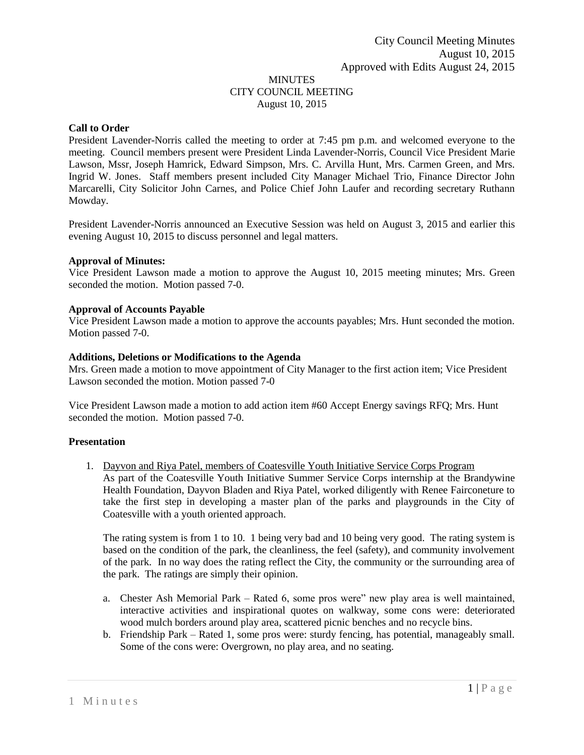## MINUTES CITY COUNCIL MEETING August 10, 2015

## **Call to Order**

President Lavender-Norris called the meeting to order at 7:45 pm p.m. and welcomed everyone to the meeting. Council members present were President Linda Lavender-Norris, Council Vice President Marie Lawson, Mssr, Joseph Hamrick, Edward Simpson, Mrs. C. Arvilla Hunt, Mrs. Carmen Green, and Mrs. Ingrid W. Jones. Staff members present included City Manager Michael Trio, Finance Director John Marcarelli, City Solicitor John Carnes, and Police Chief John Laufer and recording secretary Ruthann Mowday.

President Lavender-Norris announced an Executive Session was held on August 3, 2015 and earlier this evening August 10, 2015 to discuss personnel and legal matters.

#### **Approval of Minutes:**

Vice President Lawson made a motion to approve the August 10, 2015 meeting minutes; Mrs. Green seconded the motion. Motion passed 7-0.

#### **Approval of Accounts Payable**

Vice President Lawson made a motion to approve the accounts payables; Mrs. Hunt seconded the motion. Motion passed 7-0.

#### **Additions, Deletions or Modifications to the Agenda**

Mrs. Green made a motion to move appointment of City Manager to the first action item; Vice President Lawson seconded the motion. Motion passed 7-0

Vice President Lawson made a motion to add action item #60 Accept Energy savings RFQ; Mrs. Hunt seconded the motion. Motion passed 7-0.

#### **Presentation**

1. Dayvon and Riya Patel, members of Coatesville Youth Initiative Service Corps Program As part of the Coatesville Youth Initiative Summer Service Corps internship at the Brandywine Health Foundation, Dayvon Bladen and Riya Patel, worked diligently with Renee Fairconeture to take the first step in developing a master plan of the parks and playgrounds in the City of Coatesville with a youth oriented approach.

The rating system is from 1 to 10. 1 being very bad and 10 being very good. The rating system is based on the condition of the park, the cleanliness, the feel (safety), and community involvement of the park. In no way does the rating reflect the City, the community or the surrounding area of the park. The ratings are simply their opinion.

- a. Chester Ash Memorial Park Rated 6, some pros were" new play area is well maintained, interactive activities and inspirational quotes on walkway, some cons were: deteriorated wood mulch borders around play area, scattered picnic benches and no recycle bins.
- b. Friendship Park Rated 1, some pros were: sturdy fencing, has potential, manageably small. Some of the cons were: Overgrown, no play area, and no seating.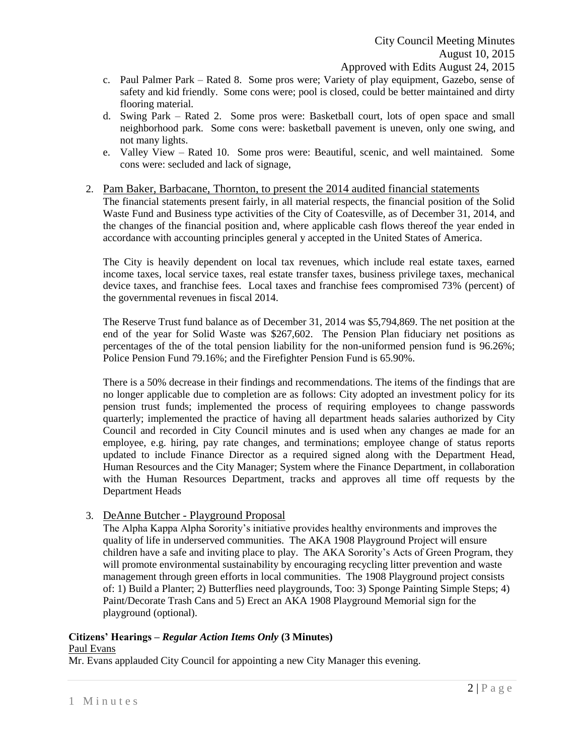- c. Paul Palmer Park Rated 8. Some pros were; Variety of play equipment, Gazebo, sense of safety and kid friendly. Some cons were; pool is closed, could be better maintained and dirty flooring material.
- d. Swing Park Rated 2. Some pros were: Basketball court, lots of open space and small neighborhood park. Some cons were: basketball pavement is uneven, only one swing, and not many lights.
- e. Valley View Rated 10. Some pros were: Beautiful, scenic, and well maintained. Some cons were: secluded and lack of signage,

## 2. Pam Baker, Barbacane, Thornton, to present the 2014 audited financial statements

The financial statements present fairly, in all material respects, the financial position of the Solid Waste Fund and Business type activities of the City of Coatesville, as of December 31, 2014, and the changes of the financial position and, where applicable cash flows thereof the year ended in accordance with accounting principles general y accepted in the United States of America.

The City is heavily dependent on local tax revenues, which include real estate taxes, earned income taxes, local service taxes, real estate transfer taxes, business privilege taxes, mechanical device taxes, and franchise fees. Local taxes and franchise fees compromised 73% (percent) of the governmental revenues in fiscal 2014.

The Reserve Trust fund balance as of December 31, 2014 was \$5,794,869. The net position at the end of the year for Solid Waste was \$267,602. The Pension Plan fiduciary net positions as percentages of the of the total pension liability for the non-uniformed pension fund is 96.26%; Police Pension Fund 79.16%; and the Firefighter Pension Fund is 65.90%.

There is a 50% decrease in their findings and recommendations. The items of the findings that are no longer applicable due to completion are as follows: City adopted an investment policy for its pension trust funds; implemented the process of requiring employees to change passwords quarterly; implemented the practice of having all department heads salaries authorized by City Council and recorded in City Council minutes and is used when any changes ae made for an employee, e.g. hiring, pay rate changes, and terminations; employee change of status reports updated to include Finance Director as a required signed along with the Department Head, Human Resources and the City Manager; System where the Finance Department, in collaboration with the Human Resources Department, tracks and approves all time off requests by the Department Heads

# 3. DeAnne Butcher - Playground Proposal

The Alpha Kappa Alpha Sorority's initiative provides healthy environments and improves the quality of life in underserved communities. The AKA 1908 Playground Project will ensure children have a safe and inviting place to play. The AKA Sorority's Acts of Green Program, they will promote environmental sustainability by encouraging recycling litter prevention and waste management through green efforts in local communities. The 1908 Playground project consists of: 1) Build a Planter; 2) Butterflies need playgrounds, Too: 3) Sponge Painting Simple Steps; 4) Paint/Decorate Trash Cans and 5) Erect an AKA 1908 Playground Memorial sign for the playground (optional).

#### **Citizens' Hearings –** *Regular Action Items Only* **(3 Minutes)** Paul Evans

Mr. Evans applauded City Council for appointing a new City Manager this evening.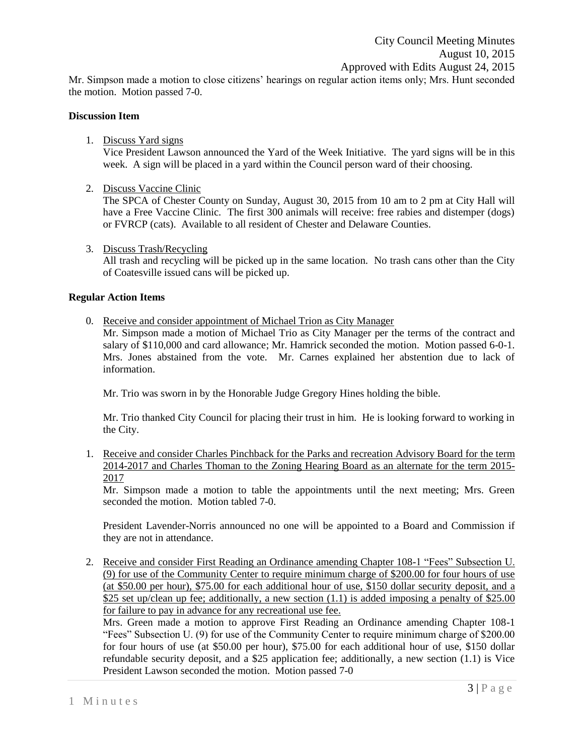Mr. Simpson made a motion to close citizens' hearings on regular action items only; Mrs. Hunt seconded the motion. Motion passed 7-0.

### **Discussion Item**

### 1. Discuss Yard signs

Vice President Lawson announced the Yard of the Week Initiative. The yard signs will be in this week. A sign will be placed in a yard within the Council person ward of their choosing.

2. Discuss Vaccine Clinic

The SPCA of Chester County on Sunday, August 30, 2015 from 10 am to 2 pm at City Hall will have a Free Vaccine Clinic. The first 300 animals will receive: free rabies and distemper (dogs) or FVRCP (cats). Available to all resident of Chester and Delaware Counties.

3. Discuss Trash/Recycling

All trash and recycling will be picked up in the same location. No trash cans other than the City of Coatesville issued cans will be picked up.

#### **Regular Action Items**

0. Receive and consider appointment of Michael Trion as City Manager

Mr. Simpson made a motion of Michael Trio as City Manager per the terms of the contract and salary of \$110,000 and card allowance; Mr. Hamrick seconded the motion. Motion passed 6-0-1. Mrs. Jones abstained from the vote. Mr. Carnes explained her abstention due to lack of information.

Mr. Trio was sworn in by the Honorable Judge Gregory Hines holding the bible.

Mr. Trio thanked City Council for placing their trust in him. He is looking forward to working in the City.

1. Receive and consider Charles Pinchback for the Parks and recreation Advisory Board for the term 2014-2017 and Charles Thoman to the Zoning Hearing Board as an alternate for the term 2015- 2017

Mr. Simpson made a motion to table the appointments until the next meeting; Mrs. Green seconded the motion. Motion tabled 7-0.

President Lavender-Norris announced no one will be appointed to a Board and Commission if they are not in attendance.

2. Receive and consider First Reading an Ordinance amending Chapter 108-1 "Fees" Subsection U. (9) for use of the Community Center to require minimum charge of \$200.00 for four hours of use (at \$50.00 per hour), \$75.00 for each additional hour of use, \$150 dollar security deposit, and a \$25 set up/clean up fee; additionally, a new section (1.1) is added imposing a penalty of \$25.00 for failure to pay in advance for any recreational use fee.

Mrs. Green made a motion to approve First Reading an Ordinance amending Chapter 108-1 "Fees" Subsection U. (9) for use of the Community Center to require minimum charge of \$200.00 for four hours of use (at \$50.00 per hour), \$75.00 for each additional hour of use, \$150 dollar refundable security deposit, and a \$25 application fee; additionally, a new section (1.1) is Vice President Lawson seconded the motion. Motion passed 7-0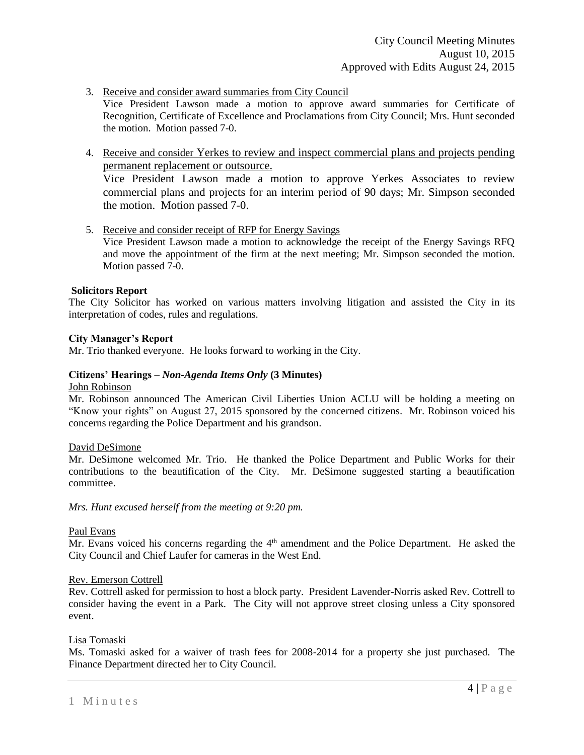3. Receive and consider award summaries from City Council

Vice President Lawson made a motion to approve award summaries for Certificate of Recognition, Certificate of Excellence and Proclamations from City Council; Mrs. Hunt seconded the motion. Motion passed 7-0.

4. Receive and consider Yerkes to review and inspect commercial plans and projects pending permanent replacement or outsource.

Vice President Lawson made a motion to approve Yerkes Associates to review commercial plans and projects for an interim period of 90 days; Mr. Simpson seconded the motion. Motion passed 7-0.

5. Receive and consider receipt of RFP for Energy Savings Vice President Lawson made a motion to acknowledge the receipt of the Energy Savings RFQ and move the appointment of the firm at the next meeting; Mr. Simpson seconded the motion. Motion passed 7-0.

### **Solicitors Report**

The City Solicitor has worked on various matters involving litigation and assisted the City in its interpretation of codes, rules and regulations.

### **City Manager's Report**

Mr. Trio thanked everyone. He looks forward to working in the City.

## **Citizens' Hearings –** *Non-Agenda Items Only* **(3 Minutes)**

#### John Robinson

Mr. Robinson announced The American Civil Liberties Union ACLU will be holding a meeting on "Know your rights" on August 27, 2015 sponsored by the concerned citizens. Mr. Robinson voiced his concerns regarding the Police Department and his grandson.

### David DeSimone

Mr. DeSimone welcomed Mr. Trio. He thanked the Police Department and Public Works for their contributions to the beautification of the City. Mr. DeSimone suggested starting a beautification committee.

*Mrs. Hunt excused herself from the meeting at 9:20 pm.* 

### Paul Evans

Mr. Evans voiced his concerns regarding the 4<sup>th</sup> amendment and the Police Department. He asked the City Council and Chief Laufer for cameras in the West End.

### Rev. Emerson Cottrell

Rev. Cottrell asked for permission to host a block party. President Lavender-Norris asked Rev. Cottrell to consider having the event in a Park. The City will not approve street closing unless a City sponsored event.

### Lisa Tomaski

Ms. Tomaski asked for a waiver of trash fees for 2008-2014 for a property she just purchased. The Finance Department directed her to City Council.